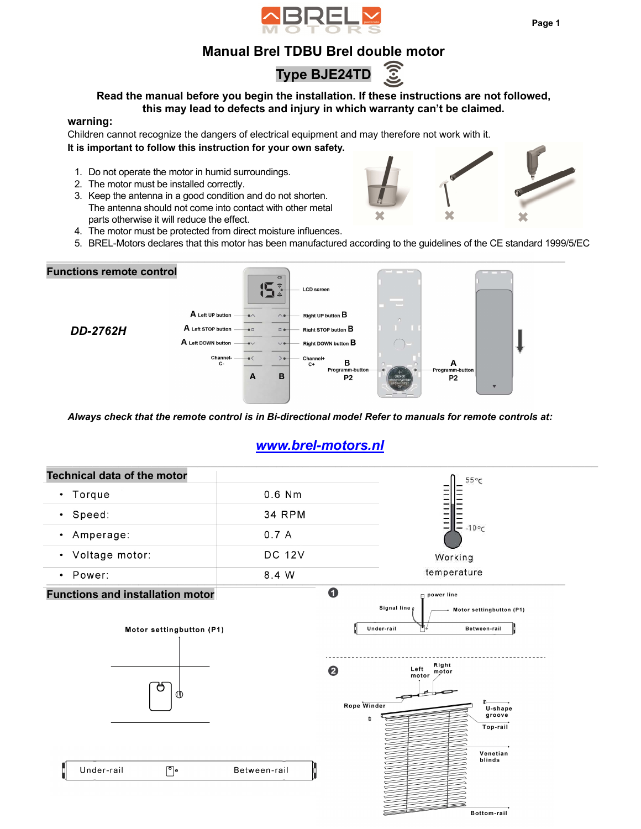

## **Manual Brel TDBU Brel double motor**

# **Type BJE24TD**

**Read the manual before you begin the installation. If these instructions are not followed, this may lead to defects and injury in which warranty can't be claimed.** 

#### **warning:**

Children cannot recognize the dangers of electrical equipment and may therefore not work with it. **It is important to follow this instruction for your own safety.** 

- 1. Do not operate the motor in humid surroundings.
- 2. The motor must be installed correctly.
- 3. Keep the antenna in a good condition and do not shorten. The antenna should not come into contact with other metal parts otherwise it will reduce the effect.
- 4. The motor must be protected from direct moisture influences.
- 5. BREL-Motors declares that this motor has been manufactured according to the guidelines of the CE standard 1999/5/EC



 *Always check that the remote control is in Bi-directional mode! Refer to manuals for remote controls at:* 

### *www.brel-motors.nl*



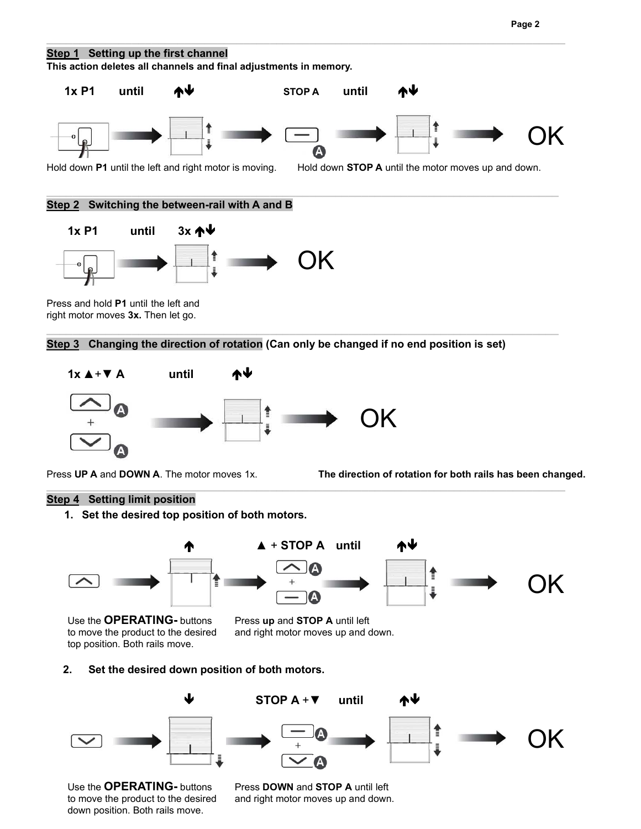#### **Step 1 Setting up the first channel**

**This action deletes all channels and final adjustments in memory.** 



**\_\_\_\_\_\_\_\_\_\_\_\_\_\_\_\_\_\_\_\_\_\_\_\_\_\_\_\_\_\_\_\_\_\_\_\_\_\_\_\_\_\_\_\_\_\_\_\_\_\_\_\_\_\_\_\_\_\_\_\_\_\_\_\_\_\_\_\_\_\_\_\_\_\_\_\_\_\_**

**\_\_\_\_\_\_\_\_\_\_\_\_\_\_\_\_\_\_\_\_\_\_\_\_\_\_\_\_\_\_\_\_\_\_\_\_\_\_\_\_\_\_\_\_\_\_\_\_\_\_\_\_\_\_\_\_\_\_\_\_\_\_\_\_\_\_\_\_\_\_\_\_\_\_\_\_\_\_**

**\_\_\_\_\_\_\_\_\_\_\_\_\_\_\_\_\_\_\_\_\_\_\_\_\_\_\_\_\_\_\_\_\_\_\_\_\_\_\_\_\_\_\_\_\_\_\_\_\_\_\_\_\_\_\_\_\_\_\_\_\_\_\_\_\_\_\_\_\_\_\_\_\_\_\_\_\_\_\_**

Hold down **P1** until the left and right motor is moving. Hold down **STOP A** until the motor moves up and down.

#### **Step 2 Switching the between-rail with A and B**



Press and hold **P1** until the left and right motor moves **3x.** Then let go.

#### **Step 3 Changing the direction of rotation (Can only be changed if no end position is set)**



Press **UP A** and **DOWN A**. The motor moves 1x. **The direction of rotation for both rails has been changed.**

**\_\_\_\_\_\_\_\_\_\_\_\_\_\_\_\_\_\_\_\_\_\_\_\_\_\_\_\_\_\_\_\_\_\_\_\_\_\_\_\_\_\_\_\_\_\_\_\_\_\_\_\_\_\_\_\_\_\_\_\_\_\_\_\_\_\_\_\_\_\_\_\_\_\_\_\_\_\_\_ Step 4 Setting limit position**

**1. Set the desired top position of both motors.** 



 Use the **OPERATING-** buttons Press **up** and **STOP A** until left top position. Both rails move.

and right motor moves up and down.

#### **2. Set the desired down position of both motors.**



Use the **OPERATING-** buttons Press **DOWN** and **STOP A** until left down position. Both rails move.

to move the product to the desired and right motor moves up and down.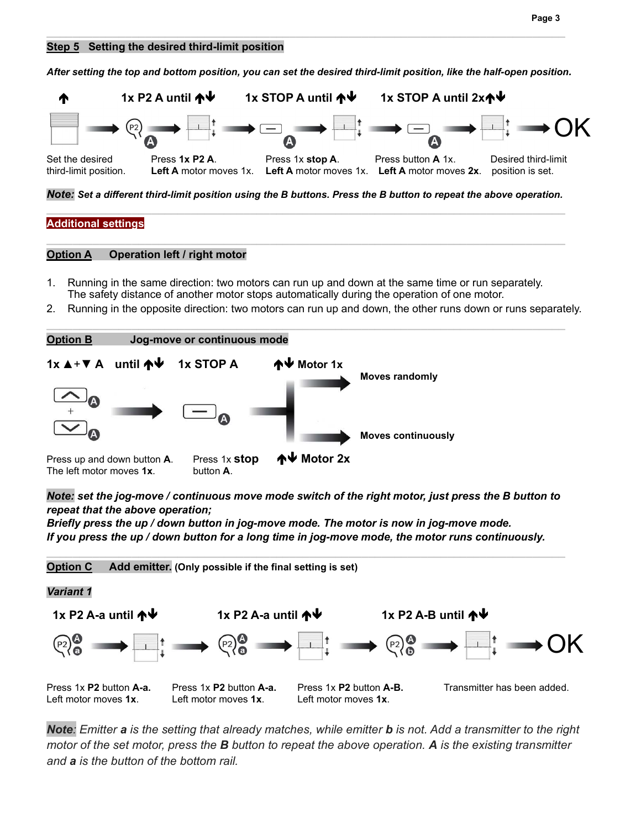#### **Step 5 Setting the desired third-limit position**

*After setting the top and bottom position, you can set the desired third-limit position, like the half-open position.* 

**\_\_\_\_\_\_\_\_\_\_\_\_\_\_\_\_\_\_\_\_\_\_\_\_\_\_\_\_\_\_\_\_\_\_\_\_\_\_\_\_\_\_\_\_\_\_\_\_\_\_\_\_\_\_\_\_\_\_\_\_\_\_\_\_\_\_\_\_\_\_\_\_\_\_\_\_\_\_\_**



*Note: Set a different third-limit position using the B buttons. Press the B button to repeat the above operation.* **\_\_\_\_\_\_\_\_\_\_\_\_\_\_\_\_\_\_\_\_\_\_\_\_\_\_\_\_\_\_\_\_\_\_\_\_\_\_\_\_\_\_\_\_\_\_\_\_\_\_\_\_\_\_\_\_\_\_\_\_\_\_\_\_\_\_\_\_\_\_\_\_\_\_\_\_\_\_\_**

**\_\_\_\_\_\_\_\_\_\_\_\_\_\_\_\_\_\_\_\_\_\_\_\_\_\_\_\_\_\_\_\_\_\_\_\_\_\_\_\_\_\_\_\_\_\_\_\_\_\_\_\_\_\_\_\_\_\_\_\_\_\_\_\_\_\_\_\_\_\_\_\_\_\_\_\_\_\_\_**

#### **Additional settings**

#### **Option A Operation left / right motor**

- 1. Running in the same direction: two motors can run up and down at the same time or run separately. The safety distance of another motor stops automatically during the operation of one motor.
- 2. Running in the opposite direction: two motors can run up and down, the other runs down or runs separately.



*Note: set the jog-move / continuous move mode switch of the right motor, just press the B button to repeat that the above operation;* 

*Briefly press the up / down button in jog-move mode. The motor is now in jog-move mode. If you press the up / down button for a long time in jog-move mode, the motor runs continuously.* 



*Note: Emitter a is the setting that already matches, while emitter b is not. Add a transmitter to the right motor of the set motor, press the B button to repeat the above operation. A is the existing transmitter and a is the button of the bottom rail.*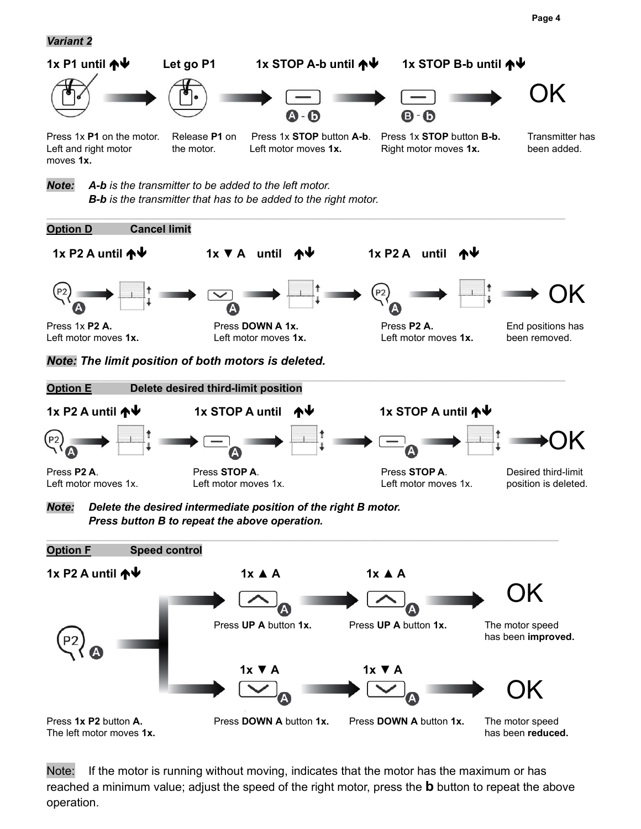*Variant 2* 



Note: If the motor is running without moving, indicates that the motor has the maximum or has reached a minimum value; adjust the speed of the right motor, press the **b** button to repeat the above operation.